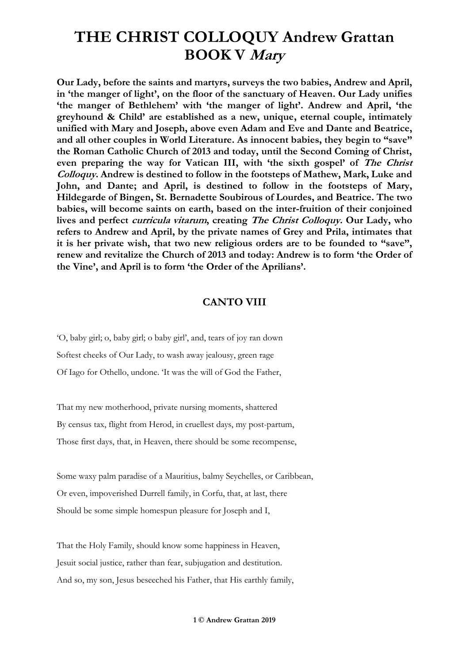**Our Lady, before the saints and martyrs, surveys the two babies, Andrew and April, in 'the manger of light', on the floor of the sanctuary of Heaven. Our Lady unifies 'the manger of Bethlehem' with 'the manger of light'. Andrew and April, 'the greyhound & Child' are established as a new, unique, eternal couple, intimately unified with Mary and Joseph, above even Adam and Eve and Dante and Beatrice, and all other couples in World Literature. As innocent babies, they begin to "save" the Roman Catholic Church of 2013 and today, until the Second Coming of Christ, even preparing the way for Vatican III, with 'the sixth gospel' of The Christ Colloquy. Andrew is destined to follow in the footsteps of Mathew, Mark, Luke and John, and Dante; and April, is destined to follow in the footsteps of Mary, Hildegarde of Bingen, St. Bernadette Soubirous of Lourdes, and Beatrice. The two babies, will become saints on earth, based on the inter-fruition of their conjoined lives and perfect curricula vitarum, creating The Christ Colloquy. Our Lady, who refers to Andrew and April, by the private names of Grey and Prila, intimates that it is her private wish, that two new religious orders are to be founded to "save", renew and revitalize the Church of 2013 and today: Andrew is to form 'the Order of the Vine', and April is to form 'the Order of the Aprilians'.**

#### **CANTO VIII**

'O, baby girl; o, baby girl; o baby girl', and, tears of joy ran down Softest cheeks of Our Lady, to wash away jealousy, green rage Of Iago for Othello, undone. 'It was the will of God the Father,

That my new motherhood, private nursing moments, shattered By census tax, flight from Herod, in cruellest days, my post-partum, Those first days, that, in Heaven, there should be some recompense,

Some waxy palm paradise of a Mauritius, balmy Seychelles, or Caribbean, Or even, impoverished Durrell family, in Corfu, that, at last, there Should be some simple homespun pleasure for Joseph and I,

That the Holy Family, should know some happiness in Heaven, Jesuit social justice, rather than fear, subjugation and destitution. And so, my son, Jesus beseeched his Father, that His earthly family,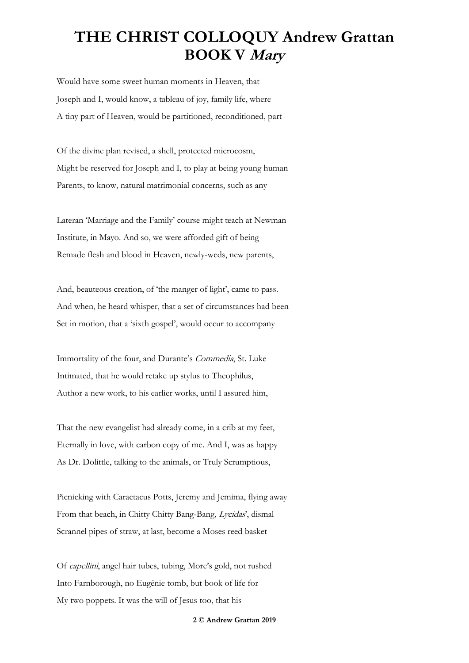Would have some sweet human moments in Heaven, that Joseph and I, would know, a tableau of joy, family life, where A tiny part of Heaven, would be partitioned, reconditioned, part

Of the divine plan revised, a shell, protected microcosm, Might be reserved for Joseph and I, to play at being young human Parents, to know, natural matrimonial concerns, such as any

Lateran 'Marriage and the Family' course might teach at Newman Institute, in Mayo. And so, we were afforded gift of being Remade flesh and blood in Heaven, newly-weds, new parents,

And, beauteous creation, of 'the manger of light', came to pass. And when, he heard whisper, that a set of circumstances had been Set in motion, that a 'sixth gospel', would occur to accompany

Immortality of the four, and Durante's Commedia, St. Luke Intimated, that he would retake up stylus to Theophilus, Author a new work, to his earlier works, until I assured him,

That the new evangelist had already come, in a crib at my feet, Eternally in love, with carbon copy of me. And I, was as happy As Dr. Dolittle, talking to the animals, or Truly Scrumptious,

Picnicking with Caractacus Potts, Jeremy and Jemima, flying away From that beach, in Chitty Chitty Bang-Bang, Lycidas', dismal Scrannel pipes of straw, at last, become a Moses reed basket

Of capellini, angel hair tubes, tubing, More's gold, not rushed Into Farnborough, no Eugénie tomb, but book of life for My two poppets. It was the will of Jesus too, that his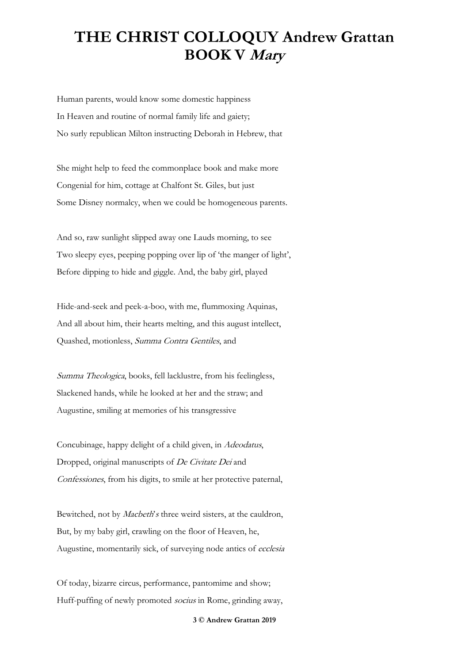Human parents, would know some domestic happiness In Heaven and routine of normal family life and gaiety; No surly republican Milton instructing Deborah in Hebrew, that

She might help to feed the commonplace book and make more Congenial for him, cottage at Chalfont St. Giles, but just Some Disney normalcy, when we could be homogeneous parents.

And so, raw sunlight slipped away one Lauds morning, to see Two sleepy eyes, peeping popping over lip of 'the manger of light', Before dipping to hide and giggle. And, the baby girl, played

Hide-and-seek and peek-a-boo, with me, flummoxing Aquinas, And all about him, their hearts melting, and this august intellect, Quashed, motionless, Summa Contra Gentiles, and

Summa Theologica, books, fell lacklustre, from his feelingless, Slackened hands, while he looked at her and the straw; and Augustine, smiling at memories of his transgressive

Concubinage, happy delight of a child given, in Adeodatus, Dropped, original manuscripts of De Civitate Dei and Confessiones, from his digits, to smile at her protective paternal,

Bewitched, not by *Macbeth's* three weird sisters, at the cauldron, But, by my baby girl, crawling on the floor of Heaven, he, Augustine, momentarily sick, of surveying node antics of ecclesia

Of today, bizarre circus, performance, pantomime and show; Huff-puffing of newly promoted socius in Rome, grinding away,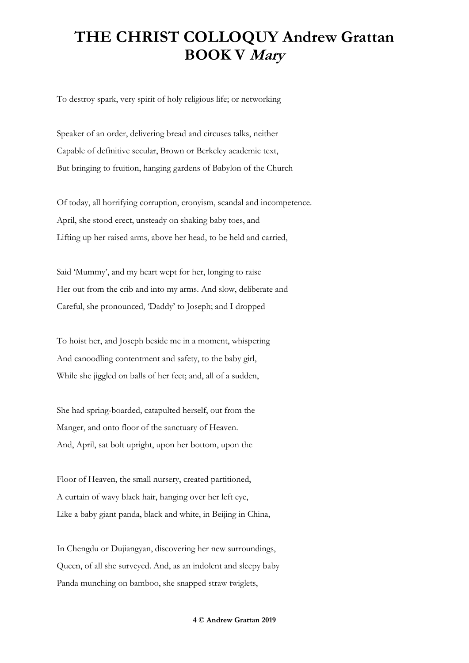To destroy spark, very spirit of holy religious life; or networking

Speaker of an order, delivering bread and circuses talks, neither Capable of definitive secular, Brown or Berkeley academic text, But bringing to fruition, hanging gardens of Babylon of the Church

Of today, all horrifying corruption, cronyism, scandal and incompetence. April, she stood erect, unsteady on shaking baby toes, and Lifting up her raised arms, above her head, to be held and carried,

Said 'Mummy', and my heart wept for her, longing to raise Her out from the crib and into my arms. And slow, deliberate and Careful, she pronounced, 'Daddy' to Joseph; and I dropped

To hoist her, and Joseph beside me in a moment, whispering And canoodling contentment and safety, to the baby girl, While she jiggled on balls of her feet; and, all of a sudden,

She had spring-boarded, catapulted herself, out from the Manger, and onto floor of the sanctuary of Heaven. And, April, sat bolt upright, upon her bottom, upon the

Floor of Heaven, the small nursery, created partitioned, A curtain of wavy black hair, hanging over her left eye, Like a baby giant panda, black and white, in Beijing in China,

In Chengdu or Dujiangyan, discovering her new surroundings, Queen, of all she surveyed. And, as an indolent and sleepy baby Panda munching on bamboo, she snapped straw twiglets,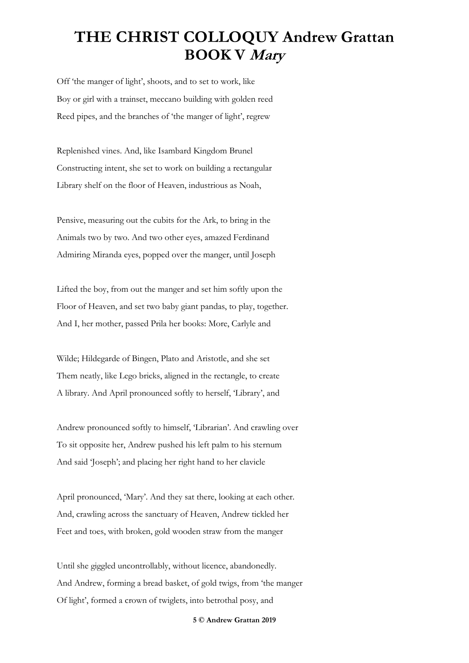Off 'the manger of light', shoots, and to set to work, like Boy or girl with a trainset, meccano building with golden reed Reed pipes, and the branches of 'the manger of light', regrew

Replenished vines. And, like Isambard Kingdom Brunel Constructing intent, she set to work on building a rectangular Library shelf on the floor of Heaven, industrious as Noah,

Pensive, measuring out the cubits for the Ark, to bring in the Animals two by two. And two other eyes, amazed Ferdinand Admiring Miranda eyes, popped over the manger, until Joseph

Lifted the boy, from out the manger and set him softly upon the Floor of Heaven, and set two baby giant pandas, to play, together. And I, her mother, passed Prila her books: More, Carlyle and

Wilde; Hildegarde of Bingen, Plato and Aristotle, and she set Them neatly, like Lego bricks, aligned in the rectangle, to create A library. And April pronounced softly to herself, 'Library', and

Andrew pronounced softly to himself, 'Librarian'. And crawling over To sit opposite her, Andrew pushed his left palm to his sternum And said 'Joseph'; and placing her right hand to her clavicle

April pronounced, 'Mary'. And they sat there, looking at each other. And, crawling across the sanctuary of Heaven, Andrew tickled her Feet and toes, with broken, gold wooden straw from the manger

Until she giggled uncontrollably, without licence, abandonedly. And Andrew, forming a bread basket, of gold twigs, from 'the manger Of light', formed a crown of twiglets, into betrothal posy, and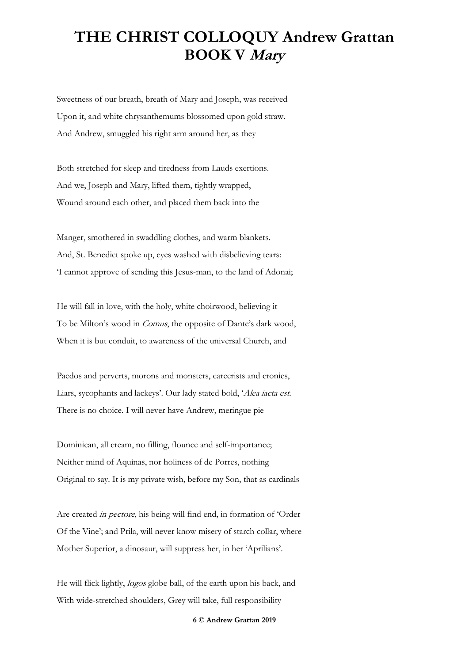Sweetness of our breath, breath of Mary and Joseph, was received Upon it, and white chrysanthemums blossomed upon gold straw. And Andrew, smuggled his right arm around her, as they

Both stretched for sleep and tiredness from Lauds exertions. And we, Joseph and Mary, lifted them, tightly wrapped, Wound around each other, and placed them back into the

Manger, smothered in swaddling clothes, and warm blankets. And, St. Benedict spoke up, eyes washed with disbelieving tears: 'I cannot approve of sending this Jesus-man, to the land of Adonai;

He will fall in love, with the holy, white choirwood, believing it To be Milton's wood in Comus, the opposite of Dante's dark wood, When it is but conduit, to awareness of the universal Church, and

Paedos and perverts, morons and monsters, careerists and cronies, Liars, sycophants and lackeys'. Our lady stated bold, 'Alea iacta est. There is no choice. I will never have Andrew, meringue pie

Dominican, all cream, no filling, flounce and self-importance; Neither mind of Aquinas, nor holiness of de Porres, nothing Original to say. It is my private wish, before my Son, that as cardinals

Are created in pectore, his being will find end, in formation of 'Order Of the Vine'; and Prila, will never know misery of starch collar, where Mother Superior, a dinosaur, will suppress her, in her 'Aprilians'.

He will flick lightly, logos globe ball, of the earth upon his back, and With wide-stretched shoulders, Grey will take, full responsibility